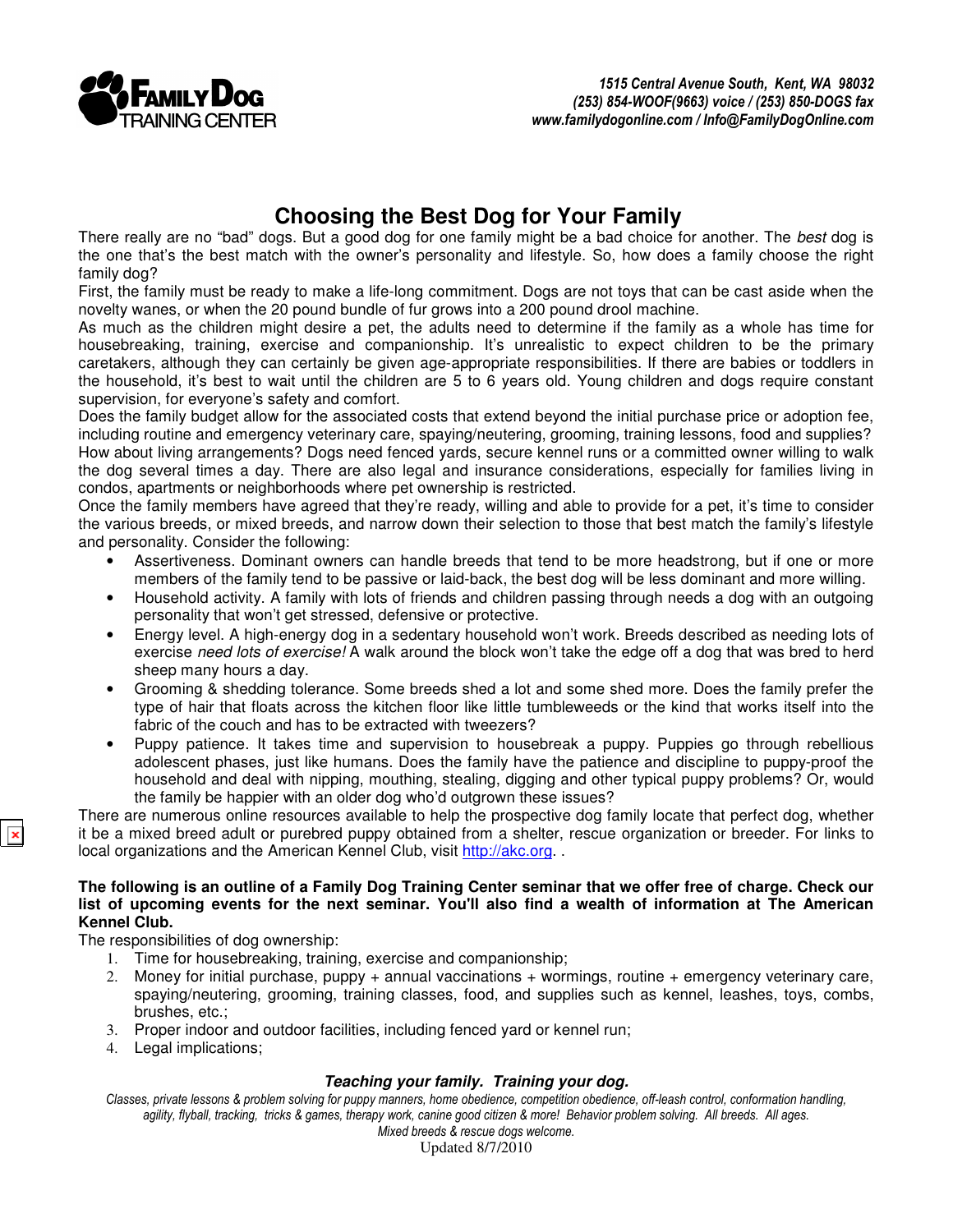

# **Choosing the Best Dog for Your Family**

There really are no "bad" dogs. But a good dog for one family might be a bad choice for another. The best dog is the one that's the best match with the owner's personality and lifestyle. So, how does a family choose the right family dog?

First, the family must be ready to make a life-long commitment. Dogs are not toys that can be cast aside when the novelty wanes, or when the 20 pound bundle of fur grows into a 200 pound drool machine.

As much as the children might desire a pet, the adults need to determine if the family as a whole has time for housebreaking, training, exercise and companionship. It's unrealistic to expect children to be the primary caretakers, although they can certainly be given age-appropriate responsibilities. If there are babies or toddlers in the household, it's best to wait until the children are 5 to 6 years old. Young children and dogs require constant supervision, for everyone's safety and comfort.

Does the family budget allow for the associated costs that extend beyond the initial purchase price or adoption fee, including routine and emergency veterinary care, spaying/neutering, grooming, training lessons, food and supplies? How about living arrangements? Dogs need fenced yards, secure kennel runs or a committed owner willing to walk the dog several times a day. There are also legal and insurance considerations, especially for families living in condos, apartments or neighborhoods where pet ownership is restricted.

Once the family members have agreed that they're ready, willing and able to provide for a pet, it's time to consider the various breeds, or mixed breeds, and narrow down their selection to those that best match the family's lifestyle and personality. Consider the following:

- Assertiveness. Dominant owners can handle breeds that tend to be more headstrong, but if one or more members of the family tend to be passive or laid-back, the best dog will be less dominant and more willing.
- Household activity. A family with lots of friends and children passing through needs a dog with an outgoing personality that won't get stressed, defensive or protective.
- Energy level. A high-energy dog in a sedentary household won't work. Breeds described as needing lots of exercise need lots of exercise! A walk around the block won't take the edge off a dog that was bred to herd sheep many hours a day.
- Grooming & shedding tolerance. Some breeds shed a lot and some shed more. Does the family prefer the type of hair that floats across the kitchen floor like little tumbleweeds or the kind that works itself into the fabric of the couch and has to be extracted with tweezers?
- Puppy patience. It takes time and supervision to housebreak a puppy. Puppies go through rebellious adolescent phases, just like humans. Does the family have the patience and discipline to puppy-proof the household and deal with nipping, mouthing, stealing, digging and other typical puppy problems? Or, would the family be happier with an older dog who'd outgrown these issues?

There are numerous online resources available to help the prospective dog family locate that perfect dog, whether it be a mixed breed adult or purebred puppy obtained from a shelter, rescue organization or breeder. For links to local organizations and the American Kennel Club, visit http://akc.org..

#### **The following is an outline of a Family Dog Training Center seminar that we offer free of charge. Check our list of upcoming events for the next seminar. You'll also find a wealth of information at The American Kennel Club.**

The responsibilities of dog ownership:

- 1. Time for housebreaking, training, exercise and companionship;<br>2. Money for initial purchase, puppy + annual vaccinations + worn
- 2. Money for initial purchase, puppy + annual vaccinations + wormings, routine + emergency veterinary care, spaying/neutering, grooming, training classes, food, and supplies such as kennel, leashes, toys, combs, brushes, etc.;
- 3. Proper indoor and outdoor facilities, including fenced yard or kennel run;
- 4. Legal implications;

## **Teaching your family. Training your dog.**

Classes, private lessons & problem solving for puppy manners, home obedience, competition obedience, off-leash control, conformation handling, agility, flyball, tracking, tricks & games, therapy work, canine good citizen & more! Behavior problem solving. All breeds. All ages.

Mixed breeds & rescue dogs welcome. Updated 8/7/2010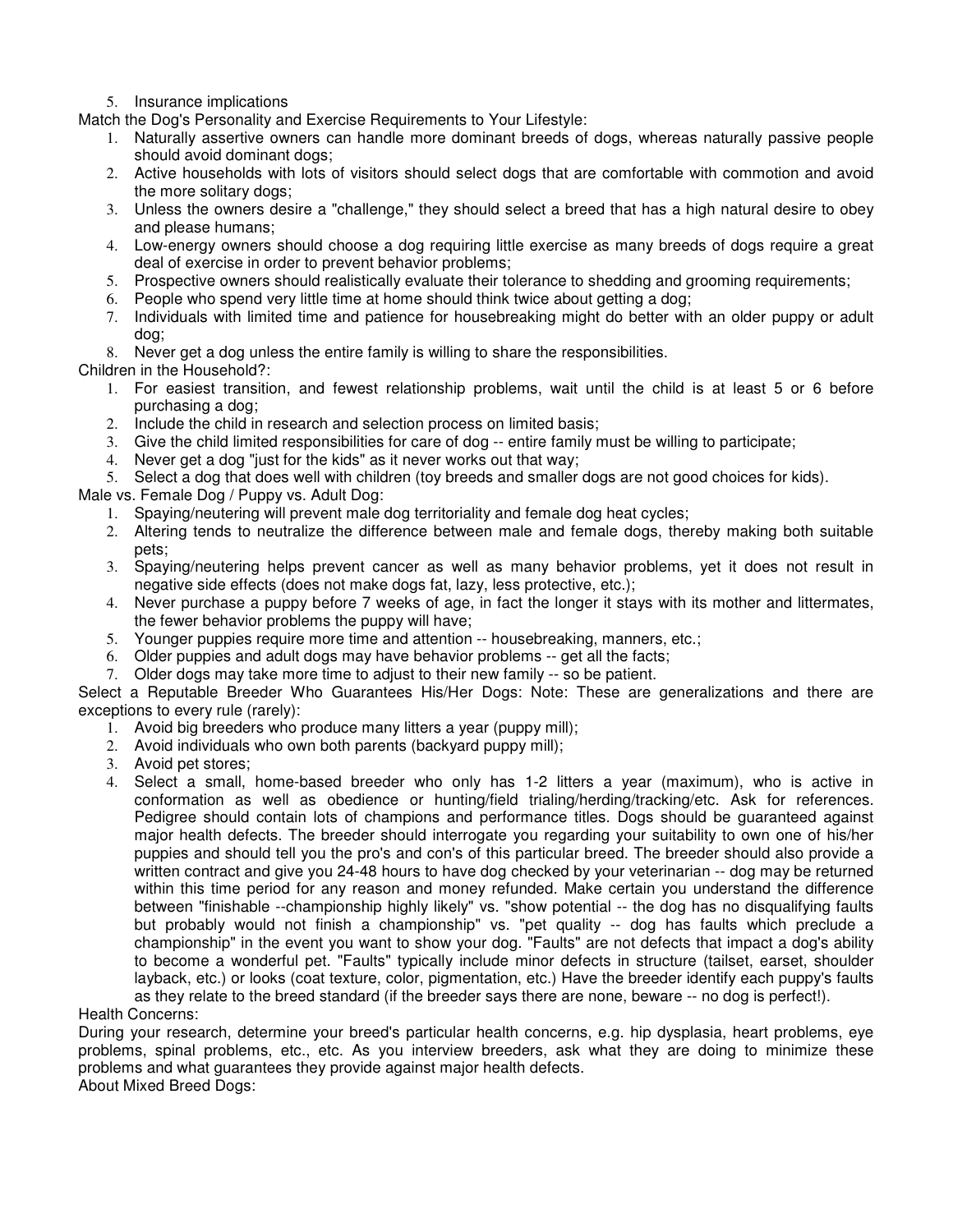5. Insurance implications

Match the Dog's Personality and Exercise Requirements to Your Lifestyle:

- 1. Naturally assertive owners can handle more dominant breeds of dogs, whereas naturally passive people should avoid dominant dogs;
- 2. Active households with lots of visitors should select dogs that are comfortable with commotion and avoid the more solitary dogs;
- 3. Unless the owners desire a "challenge," they should select a breed that has a high natural desire to obey and please humans;
- 4. Low-energy owners should choose a dog requiring little exercise as many breeds of dogs require a great deal of exercise in order to prevent behavior problems;
- 5. Prospective owners should realistically evaluate their tolerance to shedding and grooming requirements;
- 6. People who spend very little time at home should think twice about getting a dog;
- 7. Individuals with limited time and patience for housebreaking might do better with an older puppy or adult dog;

8. Never get a dog unless the entire family is willing to share the responsibilities.

Children in the Household?:

- 1. For easiest transition, and fewest relationship problems, wait until the child is at least 5 or 6 before purchasing a dog;
- 2. Include the child in research and selection process on limited basis;
- 3. Give the child limited responsibilities for care of dog -- entire family must be willing to participate;
- 4. Never get a dog "just for the kids" as it never works out that way;

5. Select a dog that does well with children (toy breeds and smaller dogs are not good choices for kids).

Male vs. Female Dog / Puppy vs. Adult Dog:

- 1. Spaying/neutering will prevent male dog territoriality and female dog heat cycles;
- 2. Altering tends to neutralize the difference between male and female dogs, thereby making both suitable pets;
- 3. Spaying/neutering helps prevent cancer as well as many behavior problems, yet it does not result in negative side effects (does not make dogs fat, lazy, less protective, etc.);
- 4. Never purchase a puppy before 7 weeks of age, in fact the longer it stays with its mother and littermates, the fewer behavior problems the puppy will have;
- 5. Younger puppies require more time and attention -- housebreaking, manners, etc.;
- 6. Older puppies and adult dogs may have behavior problems -- get all the facts;
- 7. Older dogs may take more time to adjust to their new family -- so be patient.

Select a Reputable Breeder Who Guarantees His/Her Dogs: Note: These are generalizations and there are exceptions to every rule (rarely):

- 1. Avoid big breeders who produce many litters a year (puppy mill);
- 2. Avoid individuals who own both parents (backyard puppy mill);
- 3. Avoid pet stores;
- 4. Select a small, home-based breeder who only has 1-2 litters a year (maximum), who is active in conformation as well as obedience or hunting/field trialing/herding/tracking/etc. Ask for references. Pedigree should contain lots of champions and performance titles. Dogs should be guaranteed against major health defects. The breeder should interrogate you regarding your suitability to own one of his/her puppies and should tell you the pro's and con's of this particular breed. The breeder should also provide a written contract and give you 24-48 hours to have dog checked by your veterinarian -- dog may be returned within this time period for any reason and money refunded. Make certain you understand the difference between "finishable --championship highly likely" vs. "show potential -- the dog has no disqualifying faults but probably would not finish a championship" vs. "pet quality -- dog has faults which preclude a championship" in the event you want to show your dog. "Faults" are not defects that impact a dog's ability to become a wonderful pet. "Faults" typically include minor defects in structure (tailset, earset, shoulder layback, etc.) or looks (coat texture, color, pigmentation, etc.) Have the breeder identify each puppy's faults as they relate to the breed standard (if the breeder says there are none, beware -- no dog is perfect!).

Health Concerns:

During your research, determine your breed's particular health concerns, e.g. hip dysplasia, heart problems, eye problems, spinal problems, etc., etc. As you interview breeders, ask what they are doing to minimize these problems and what guarantees they provide against major health defects. About Mixed Breed Dogs: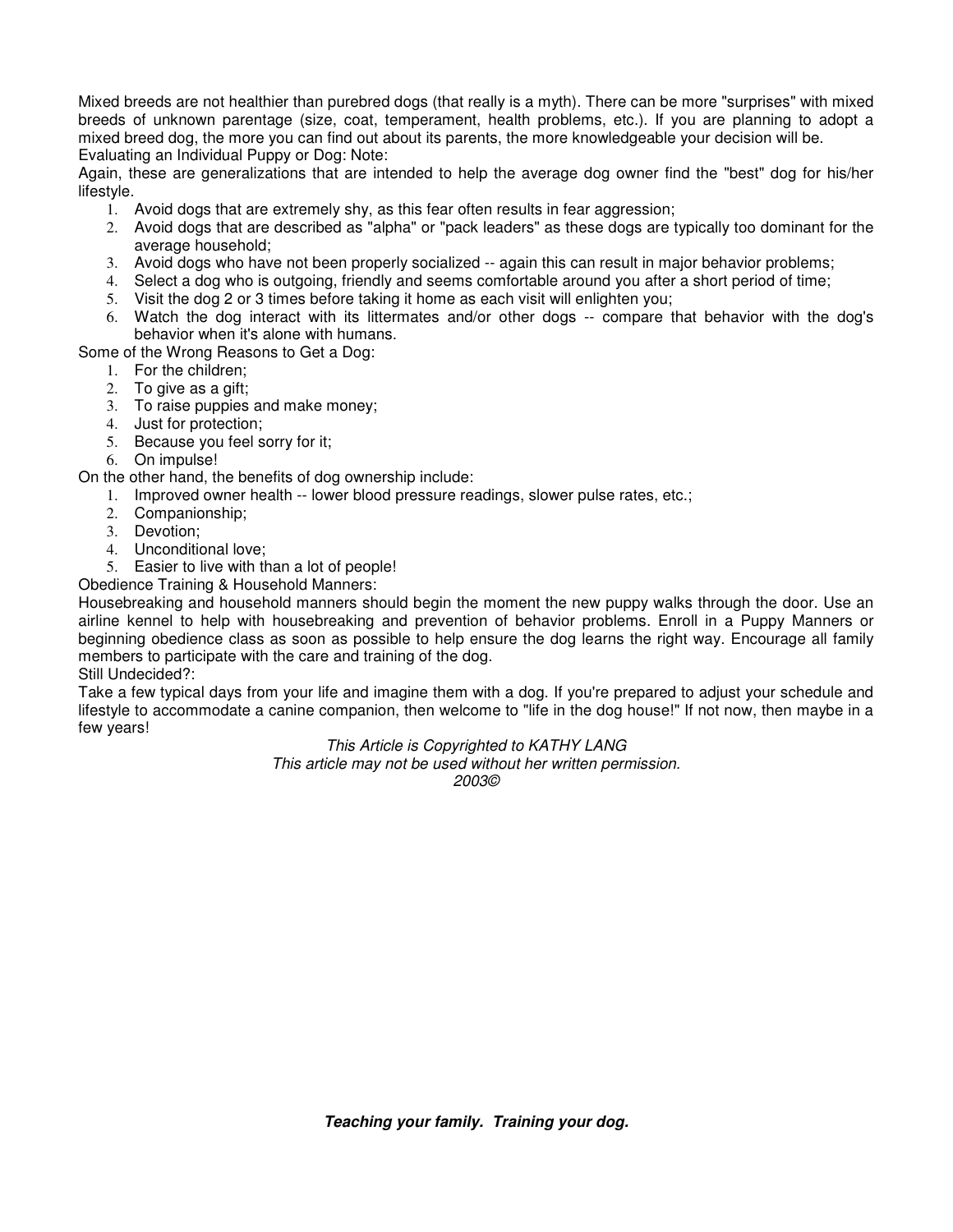Mixed breeds are not healthier than purebred dogs (that really is a myth). There can be more "surprises" with mixed breeds of unknown parentage (size, coat, temperament, health problems, etc.). If you are planning to adopt a mixed breed dog, the more you can find out about its parents, the more knowledgeable your decision will be. Evaluating an Individual Puppy or Dog: Note:

Again, these are generalizations that are intended to help the average dog owner find the "best" dog for his/her lifestyle.

- 1. Avoid dogs that are extremely shy, as this fear often results in fear aggression;
- 2. Avoid dogs that are described as "alpha" or "pack leaders" as these dogs are typically too dominant for the average household;
- 3. Avoid dogs who have not been properly socialized -- again this can result in major behavior problems;
- 4. Select a dog who is outgoing, friendly and seems comfortable around you after a short period of time;
- 5. Visit the dog 2 or 3 times before taking it home as each visit will enlighten you;
- 6. Watch the dog interact with its littermates and/or other dogs -- compare that behavior with the dog's behavior when it's alone with humans.

Some of the Wrong Reasons to Get a Dog:

- 1. For the children;
- 2. To give as a gift;
- 3. To raise puppies and make money;
- 4. Just for protection;
- 5. Because you feel sorry for it;
- 6. On impulse!

### On the other hand, the benefits of dog ownership include:

- 1. Improved owner health -- lower blood pressure readings, slower pulse rates, etc.;
- 2. Companionship;
- 3. Devotion;
- 4. Unconditional love;
- 5. Easier to live with than a lot of people!

## Obedience Training & Household Manners:

Housebreaking and household manners should begin the moment the new puppy walks through the door. Use an airline kennel to help with housebreaking and prevention of behavior problems. Enroll in a Puppy Manners or beginning obedience class as soon as possible to help ensure the dog learns the right way. Encourage all family members to participate with the care and training of the dog.

Still Undecided?:

Take a few typical days from your life and imagine them with a dog. If you're prepared to adjust your schedule and lifestyle to accommodate a canine companion, then welcome to "life in the dog house!" If not now, then maybe in a few years!

#### This Article is Copyrighted to KATHY LANG

This article may not be used without her written permission. 2003©